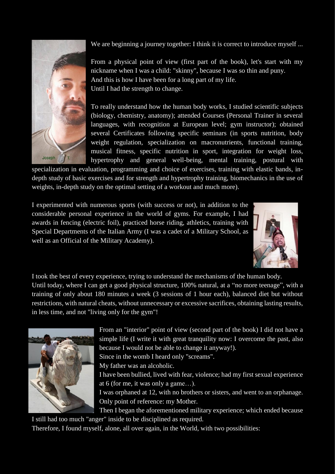We are beginning a journey together: I think it is correct to introduce myself ...



From a physical point of view (first part of the book), let's start with my nickname when I was a child: "skinny", because I was so thin and puny. And this is how I have been for a long part of my life. Until I had the strength to change.

To really understand how the human body works, I studied scientific subjects (biology, chemistry, anatomy); attended Courses (Personal Trainer in several languages, with recognition at European level; gym instructor); obtained several Certificates following specific seminars (in sports nutrition, body weight regulation, specialization on macronutrients, functional training, musical fitness, specific nutrition in sport, integration for weight loss, hypertrophy and general well-being, mental training, postural with

specialization in evaluation, programming and choice of exercises, training with elastic bands, indepth study of basic exercises and for strength and hypertrophy training, biomechanics in the use of weights, in-depth study on the optimal setting of a workout and much more).

I experimented with numerous sports (with success or not), in addition to the considerable personal experience in the world of gyms. For example, I had awards in fencing (electric foil), practiced horse riding, athletics, training with Special Departments of the Italian Army (I was a cadet of a Military School, as well as an Official of the Military Academy).



I took the best of every experience, trying to understand the mechanisms of the human body. Until today, where I can get a good physical structure, 100% natural, at a "no more teenage", with a training of only about 180 minutes a week (3 sessions of 1 hour each), balanced diet but without restrictions, with natural cheats, without unnecessary or excessive sacrifices, obtaining lasting results, in less time, and not "living only for the gym"!



From an "interior" point of view (second part of the book) I did not have a simple life (I write it with great tranquility now: I overcome the past, also because I would not be able to change it anyway!).

Since in the womb I heard only "screams".

My father was an alcoholic.

I have been bullied, lived with fear, violence; had my first sexual experience at 6 (for me, it was only a game…).

I was orphaned at 12, with no brothers or sisters, and went to an orphanage. Only point of reference: my Mother.

Then I began the aforementioned military experience; which ended because I still had too much "anger" inside to be disciplined as required.

Therefore, I found myself, alone, all over again, in the World, with two possibilities: